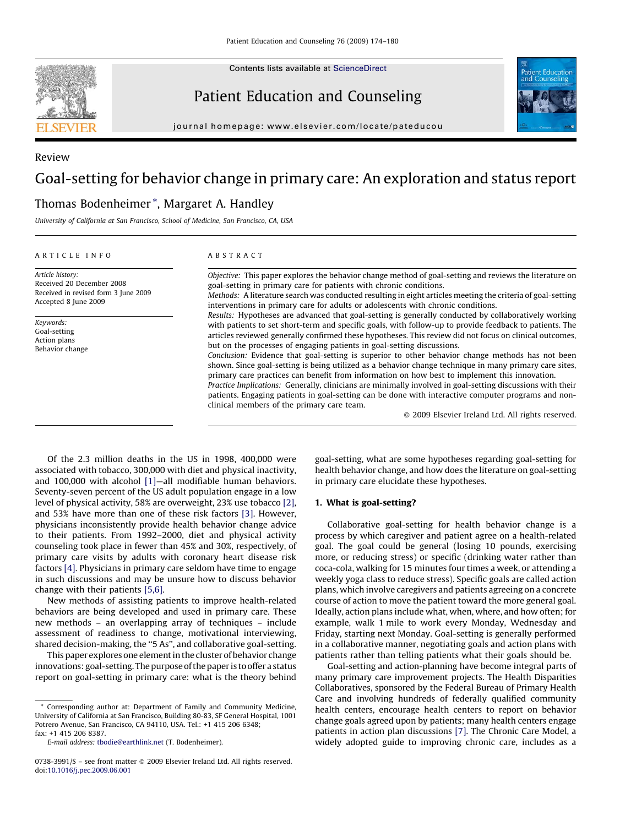Review

Contents lists available at [ScienceDirect](http://www.sciencedirect.com/science/journal/07383991)

## Patient Education and Counseling



journal homepage: www.elsevier.com/locate/pateducou

# Goal-setting for behavior change in primary care: An exploration and status report

### Thomas Bodenheimer \*, Margaret A. Handley

University of California at San Francisco, School of Medicine, San Francisco, CA, USA

#### ARTICLE INFO

Article history: Received 20 December 2008 Received in revised form 3 June 2009 Accepted 8 June 2009

Keywords: Goal-setting Action plans Behavior change

#### ABSTRACT

Objective: This paper explores the behavior change method of goal-setting and reviews the literature on goal-setting in primary care for patients with chronic conditions. Methods: A literature search was conducted resulting in eight articles meeting the criteria of goal-setting interventions in primary care for adults or adolescents with chronic conditions. Results: Hypotheses are advanced that goal-setting is generally conducted by collaboratively working with patients to set short-term and specific goals, with follow-up to provide feedback to patients. The articles reviewed generally confirmed these hypotheses. This review did not focus on clinical outcomes, but on the processes of engaging patients in goal-setting discussions. Conclusion: Evidence that goal-setting is superior to other behavior change methods has not been

shown. Since goal-setting is being utilized as a behavior change technique in many primary care sites, primary care practices can benefit from information on how best to implement this innovation.

Practice Implications: Generally, clinicians are minimally involved in goal-setting discussions with their patients. Engaging patients in goal-setting can be done with interactive computer programs and nonclinical members of the primary care team.

- 2009 Elsevier Ireland Ltd. All rights reserved.

Of the 2.3 million deaths in the US in 1998, 400,000 were associated with tobacco, 300,000 with diet and physical inactivity, and 100,000 with alcohol [\[1\]](#page-6-0)-all modifiable human behaviors. Seventy-seven percent of the US adult population engage in a low level of physical activity, 58% are overweight, 23% use tobacco [\[2\],](#page-6-0) and 53% have more than one of these risk factors [\[3\]](#page-6-0). However, physicians inconsistently provide health behavior change advice to their patients. From 1992–2000, diet and physical activity counseling took place in fewer than 45% and 30%, respectively, of primary care visits by adults with coronary heart disease risk factors [\[4\]](#page-6-0). Physicians in primary care seldom have time to engage in such discussions and may be unsure how to discuss behavior change with their patients [\[5,6\]](#page-6-0).

New methods of assisting patients to improve health-related behaviors are being developed and used in primary care. These new methods – an overlapping array of techniques – include assessment of readiness to change, motivational interviewing, shared decision-making, the ''5 As'', and collaborative goal-setting.

This paper explores one element in the cluster of behavior change innovations: goal-setting. The purpose of the paper is to offer a status report on goal-setting in primary care: what is the theory behind

E-mail address: [tbodie@earthlink.net](mailto:tbodie@earthlink.net) (T. Bodenheimer).

goal-setting, what are some hypotheses regarding goal-setting for health behavior change, and how does the literature on goal-setting in primary care elucidate these hypotheses.

#### 1. What is goal-setting?

Collaborative goal-setting for health behavior change is a process by which caregiver and patient agree on a health-related goal. The goal could be general (losing 10 pounds, exercising more, or reducing stress) or specific (drinking water rather than coca-cola, walking for 15 minutes four times a week, or attending a weekly yoga class to reduce stress). Specific goals are called action plans, which involve caregivers and patients agreeing on a concrete course of action to move the patient toward the more general goal. Ideally, action plans include what, when, where, and how often; for example, walk 1 mile to work every Monday, Wednesday and Friday, starting next Monday. Goal-setting is generally performed in a collaborative manner, negotiating goals and action plans with patients rather than telling patients what their goals should be.

Goal-setting and action-planning have become integral parts of many primary care improvement projects. The Health Disparities Collaboratives, sponsored by the Federal Bureau of Primary Health Care and involving hundreds of federally qualified community health centers, encourage health centers to report on behavior change goals agreed upon by patients; many health centers engage patients in action plan discussions [\[7\].](#page-6-0) The Chronic Care Model, a widely adopted guide to improving chronic care, includes as a

<sup>\*</sup> Corresponding author at: Department of Family and Community Medicine, University of California at San Francisco, Building 80-83, SF General Hospital, 1001 Potrero Avenue, San Francisco, CA 94110, USA. Tel.: +1 415 206 6348; fax: +1 415 206 8387.

 $0738-3991/\$ \$ – see front matter  $\odot$  2009 Elsevier Ireland Ltd. All rights reserved. doi:[10.1016/j.pec.2009.06.001](http://dx.doi.org/10.1016/j.pec.2009.06.001)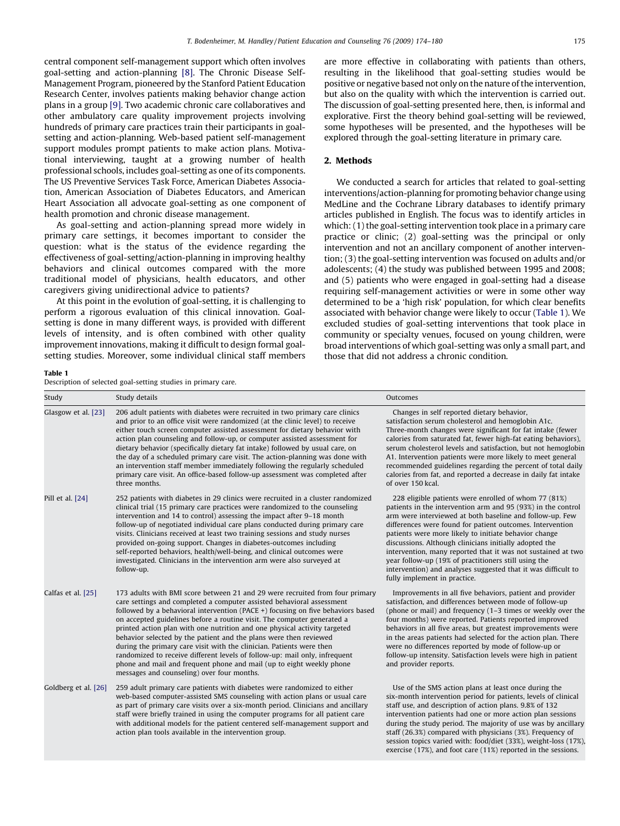central component self-management support which often involves goal-setting and action-planning [\[8\]](#page-6-0). The Chronic Disease Self-Management Program, pioneered by the Stanford Patient Education Research Center, involves patients making behavior change action plans in a group [\[9\]](#page-6-0). Two academic chronic care collaboratives and other ambulatory care quality improvement projects involving hundreds of primary care practices train their participants in goalsetting and action-planning. Web-based patient self-management support modules prompt patients to make action plans. Motivational interviewing, taught at a growing number of health professional schools, includes goal-setting as one of its components. The US Preventive Services Task Force, American Diabetes Association, American Association of Diabetes Educators, and American Heart Association all advocate goal-setting as one component of health promotion and chronic disease management.

As goal-setting and action-planning spread more widely in primary care settings, it becomes important to consider the question: what is the status of the evidence regarding the effectiveness of goal-setting/action-planning in improving healthy behaviors and clinical outcomes compared with the more traditional model of physicians, health educators, and other caregivers giving unidirectional advice to patients?

At this point in the evolution of goal-setting, it is challenging to perform a rigorous evaluation of this clinical innovation. Goalsetting is done in many different ways, is provided with different levels of intensity, and is often combined with other quality improvement innovations, making it difficult to design formal goalsetting studies. Moreover, some individual clinical staff members are more effective in collaborating with patients than others, resulting in the likelihood that goal-setting studies would be positive or negative based not only on the nature of the intervention, but also on the quality with which the intervention is carried out. The discussion of goal-setting presented here, then, is informal and explorative. First the theory behind goal-setting will be reviewed, some hypotheses will be presented, and the hypotheses will be explored through the goal-setting literature in primary care.

#### 2. Methods

We conducted a search for articles that related to goal-setting interventions/action-planning for promoting behavior change using MedLine and the Cochrane Library databases to identify primary articles published in English. The focus was to identify articles in which: (1) the goal-setting intervention took place in a primary care practice or clinic; (2) goal-setting was the principal or only intervention and not an ancillary component of another intervention; (3) the goal-setting intervention was focused on adults and/or adolescents; (4) the study was published between 1995 and 2008; and (5) patients who were engaged in goal-setting had a disease requiring self-management activities or were in some other way determined to be a 'high risk' population, for which clear benefits associated with behavior change were likely to occur (Table 1). We excluded studies of goal-setting interventions that took place in community or specialty venues, focused on young children, were broad interventions of which goal-setting was only a small part, and those that did not address a chronic condition.

#### Table 1

Description of selected goal-setting studies in primary care.

| Study                | Study details                                                                                                                                                                                                                                                                                                                                                                                                                                                                                                                                                                                                                                                                                                                                         | Outcomes                                                                                                                                                                                                                                                                                                                                                                                                                                                                                                                                                                                  |
|----------------------|-------------------------------------------------------------------------------------------------------------------------------------------------------------------------------------------------------------------------------------------------------------------------------------------------------------------------------------------------------------------------------------------------------------------------------------------------------------------------------------------------------------------------------------------------------------------------------------------------------------------------------------------------------------------------------------------------------------------------------------------------------|-------------------------------------------------------------------------------------------------------------------------------------------------------------------------------------------------------------------------------------------------------------------------------------------------------------------------------------------------------------------------------------------------------------------------------------------------------------------------------------------------------------------------------------------------------------------------------------------|
| Glasgow et al. [23]  | 206 adult patients with diabetes were recruited in two primary care clinics<br>and prior to an office visit were randomized (at the clinic level) to receive<br>either touch screen computer assisted assessment for dietary behavior with<br>action plan counseling and follow-up, or computer assisted assessment for<br>dietary behavior (specifically dietary fat intake) followed by usual care, on<br>the day of a scheduled primary care visit. The action-planning was done with<br>an intervention staff member immediately following the regularly scheduled<br>primary care visit. An office-based follow-up assessment was completed after<br>three months.                                                                               | Changes in self reported dietary behavior,<br>satisfaction serum cholesterol and hemoglobin A1c.<br>Three-month changes were significant for fat intake (fewer<br>calories from saturated fat, fewer high-fat eating behaviors),<br>serum cholesterol levels and satisfaction, but not hemoglobin<br>A1. Intervention patients were more likely to meet general<br>recommended guidelines regarding the percent of total daily<br>calories from fat, and reported a decrease in daily fat intake<br>of over 150 kcal.                                                                     |
| Pill et al. [24]     | 252 patients with diabetes in 29 clinics were recruited in a cluster randomized<br>clinical trial (15 primary care practices were randomized to the counseling<br>intervention and 14 to control) assessing the impact after 9–18 month<br>follow-up of negotiated individual care plans conducted during primary care<br>visits. Clinicians received at least two training sessions and study nurses<br>provided on-going support. Changes in diabetes-outcomes including<br>self-reported behaviors, health/well-being, and clinical outcomes were<br>investigated. Clinicians in the intervention arm were also surveyed at<br>follow-up.                                                                                                          | 228 eligible patients were enrolled of whom 77 (81%)<br>patients in the intervention arm and 95 (93%) in the control<br>arm were interviewed at both baseline and follow-up. Few<br>differences were found for patient outcomes. Intervention<br>patients were more likely to initiate behavior change<br>discussions. Although clinicians initially adopted the<br>intervention, many reported that it was not sustained at two<br>year follow-up (19% of practitioners still using the<br>intervention) and analyses suggested that it was difficult to<br>fully implement in practice. |
| Calfas et al. [25]   | 173 adults with BMI score between 21 and 29 were recruited from four primary<br>care settings and completed a computer assisted behavioral assessment<br>followed by a behavioral intervention ( $PACE +$ ) focusing on five behaviors based<br>on accepted guidelines before a routine visit. The computer generated a<br>printed action plan with one nutrition and one physical activity targeted<br>behavior selected by the patient and the plans were then reviewed<br>during the primary care visit with the clinician. Patients were then<br>randomized to receive different levels of follow-up: mail only, infrequent<br>phone and mail and frequent phone and mail (up to eight weekly phone<br>messages and counseling) over four months. | Improvements in all five behaviors, patient and provider<br>satisfaction, and differences between mode of follow-up<br>(phone or mail) and frequency (1–3 times or weekly over the<br>four months) were reported. Patients reported improved<br>behaviors in all five areas, but greatest improvements were<br>in the areas patients had selected for the action plan. There<br>were no differences reported by mode of follow-up or<br>follow-up intensity. Satisfaction levels were high in patient<br>and provider reports.                                                            |
| Goldberg et al. [26] | 259 adult primary care patients with diabetes were randomized to either<br>web-based computer-assisted SMS counseling with action plans or usual care<br>as part of primary care visits over a six-month period. Clinicians and ancillary<br>staff were briefly trained in using the computer programs for all patient care<br>with additional models for the patient centered self-management support and<br>action plan tools available in the intervention group.                                                                                                                                                                                                                                                                                  | Use of the SMS action plans at least once during the<br>six-month intervention period for patients, levels of clinical<br>staff use, and description of action plans. 9.8% of 132<br>intervention patients had one or more action plan sessions<br>during the study period. The majority of use was by ancillary<br>staff (26.3%) compared with physicians (3%). Frequency of<br>session topics varied with: food/diet (33%), weight-loss (17%),<br>exercise (17%), and foot care (11%) reported in the sessions.                                                                         |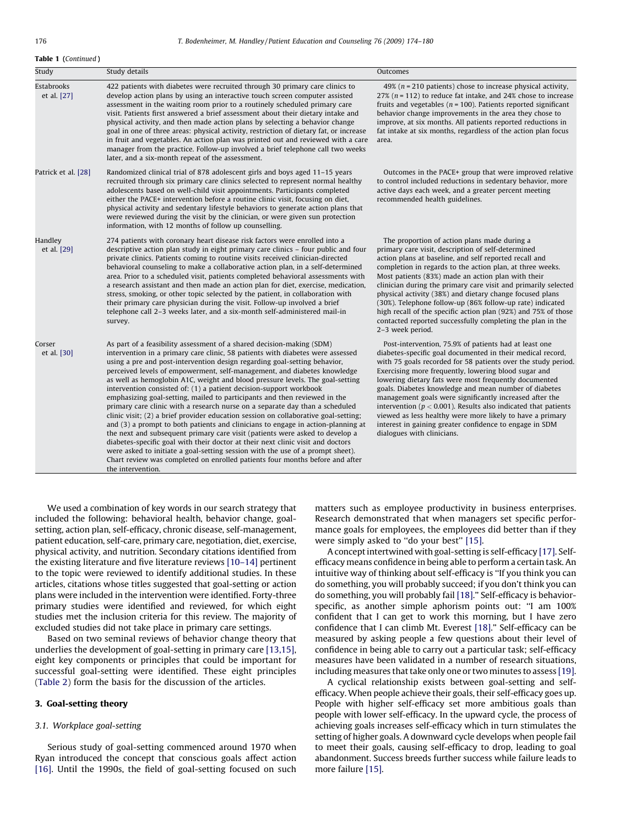Table 1 (Continued )

| Study                     | Study details                                                                                                                                                                                                                                                                                                                                                                                                                                                                                                                                                                                                                                                                                                                                                                                                                                                                                                                                                                                                                                                                                                                                                             | Outcomes                                                                                                                                                                                                                                                                                                                                                                                                                                                                                                                                                                                                                                              |
|---------------------------|---------------------------------------------------------------------------------------------------------------------------------------------------------------------------------------------------------------------------------------------------------------------------------------------------------------------------------------------------------------------------------------------------------------------------------------------------------------------------------------------------------------------------------------------------------------------------------------------------------------------------------------------------------------------------------------------------------------------------------------------------------------------------------------------------------------------------------------------------------------------------------------------------------------------------------------------------------------------------------------------------------------------------------------------------------------------------------------------------------------------------------------------------------------------------|-------------------------------------------------------------------------------------------------------------------------------------------------------------------------------------------------------------------------------------------------------------------------------------------------------------------------------------------------------------------------------------------------------------------------------------------------------------------------------------------------------------------------------------------------------------------------------------------------------------------------------------------------------|
| Estabrooks<br>et al. [27] | 422 patients with diabetes were recruited through 30 primary care clinics to<br>develop action plans by using an interactive touch screen computer assisted<br>assessment in the waiting room prior to a routinely scheduled primary care<br>visit. Patients first answered a brief assessment about their dietary intake and<br>physical activity, and then made action plans by selecting a behavior change<br>goal in one of three areas: physical activity, restriction of dietary fat, or increase<br>in fruit and vegetables. An action plan was printed out and reviewed with a care<br>manager from the practice. Follow-up involved a brief telephone call two weeks<br>later, and a six-month repeat of the assessment.                                                                                                                                                                                                                                                                                                                                                                                                                                         | 49% ( $n = 210$ patients) chose to increase physical activity,<br>27% ( $n = 112$ ) to reduce fat intake, and 24% chose to increase<br>fruits and vegetables ( $n = 100$ ). Patients reported significant<br>behavior change improvements in the area they chose to<br>improve, at six months. All patients reported reductions in<br>fat intake at six months, regardless of the action plan focus<br>area.                                                                                                                                                                                                                                          |
| Patrick et al. [28]       | Randomized clinical trial of 878 adolescent girls and boys aged 11–15 years<br>recruited through six primary care clinics selected to represent normal healthy<br>adolescents based on well-child visit appointments. Participants completed<br>either the PACE+ intervention before a routine clinic visit, focusing on diet,<br>physical activity and sedentary lifestyle behaviors to generate action plans that<br>were reviewed during the visit by the clinician, or were given sun protection<br>information, with 12 months of follow up counselling.                                                                                                                                                                                                                                                                                                                                                                                                                                                                                                                                                                                                             | Outcomes in the PACE+ group that were improved relative<br>to control included reductions in sedentary behavior, more<br>active days each week, and a greater percent meeting<br>recommended health guidelines.                                                                                                                                                                                                                                                                                                                                                                                                                                       |
| Handley<br>et al. [29]    | 274 patients with coronary heart disease risk factors were enrolled into a<br>descriptive action plan study in eight primary care clinics – four public and four<br>private clinics. Patients coming to routine visits received clinician-directed<br>behavioral counseling to make a collaborative action plan, in a self-determined<br>area. Prior to a scheduled visit, patients completed behavioral assessments with<br>a research assistant and then made an action plan for diet, exercise, medication,<br>stress, smoking, or other topic selected by the patient, in collaboration with<br>their primary care physician during the visit. Follow-up involved a brief<br>telephone call 2-3 weeks later, and a six-month self-administered mail-in<br>survey.                                                                                                                                                                                                                                                                                                                                                                                                     | The proportion of action plans made during a<br>primary care visit, description of self-determined<br>action plans at baseline, and self reported recall and<br>completion in regards to the action plan, at three weeks.<br>Most patients (83%) made an action plan with their<br>clinician during the primary care visit and primarily selected<br>physical activity (38%) and dietary change focused plans<br>(30%). Telephone follow-up (86% follow-up rate) indicated<br>high recall of the specific action plan (92%) and 75% of those<br>contacted reported successfully completing the plan in the<br>2-3 week period.                        |
| Corser<br>et al. [30]     | As part of a feasibility assessment of a shared decision-making (SDM)<br>intervention in a primary care clinic, 58 patients with diabetes were assessed<br>using a pre and post-intervention design regarding goal-setting behavior,<br>perceived levels of empowerment, self-management, and diabetes knowledge<br>as well as hemoglobin A1C, weight and blood pressure levels. The goal-setting<br>intervention consisted of: (1) a patient decision-support workbook<br>emphasizing goal-setting, mailed to participants and then reviewed in the<br>primary care clinic with a research nurse on a separate day than a scheduled<br>clinic visit; (2) a brief provider education session on collaborative goal-setting;<br>and (3) a prompt to both patients and clinicians to engage in action-planning at<br>the next and subsequent primary care visit (patients were asked to develop a<br>diabetes-specific goal with their doctor at their next clinic visit and doctors<br>were asked to initiate a goal-setting session with the use of a prompt sheet).<br>Chart review was completed on enrolled patients four months before and after<br>the intervention. | Post-intervention, 75.9% of patients had at least one<br>diabetes-specific goal documented in their medical record,<br>with 75 goals recorded for 58 patients over the study period.<br>Exercising more frequently, lowering blood sugar and<br>lowering dietary fats were most frequently documented<br>goals. Diabetes knowledge and mean number of diabetes<br>management goals were significantly increased after the<br>intervention ( $p < 0.001$ ). Results also indicated that patients<br>viewed as less healthy were more likely to have a primary<br>interest in gaining greater confidence to engage in SDM<br>dialogues with clinicians. |

We used a combination of key words in our search strategy that included the following: behavioral health, behavior change, goalsetting, action plan, self-efficacy, chronic disease, self-management, patient education, self-care, primary care, negotiation, diet, exercise, physical activity, and nutrition. Secondary citations identified from the existing literature and five literature reviews [\[10–14\]](#page-6-0) pertinent to the topic were reviewed to identify additional studies. In these articles, citations whose titles suggested that goal-setting or action plans were included in the intervention were identified. Forty-three primary studies were identified and reviewed, for which eight studies met the inclusion criteria for this review. The majority of excluded studies did not take place in primary care settings.

Based on two seminal reviews of behavior change theory that underlies the development of goal-setting in primary care [\[13,15\],](#page-6-0) eight key components or principles that could be important for successful goal-setting were identified. These eight principles ([Table 2](#page-3-0)) form the basis for the discussion of the articles.

#### 3. Goal-setting theory

#### 3.1. Workplace goal-setting

Serious study of goal-setting commenced around 1970 when Ryan introduced the concept that conscious goals affect action [\[16\]](#page-6-0). Until the 1990s, the field of goal-setting focused on such matters such as employee productivity in business enterprises. Research demonstrated that when managers set specific performance goals for employees, the employees did better than if they were simply asked to "do your best" [\[15\]](#page-6-0).

A concept intertwined with goal-setting is self-efficacy [\[17\]](#page-6-0). Selfefficacy means confidence in being able to perform a certain task. An intuitive way of thinking about self-efficacy is ''If you think you can do something, you will probably succeed; if you don't think you can do something, you will probably fail [\[18\]](#page-6-0).'' Self-efficacy is behaviorspecific, as another simple aphorism points out: ''I am 100% confident that I can get to work this morning, but I have zero confidence that I can climb Mt. Everest [\[18\].](#page-6-0)'' Self-efficacy can be measured by asking people a few questions about their level of confidence in being able to carry out a particular task; self-efficacy measures have been validated in a number of research situations, including measures that take only one or two minutes to assess [\[19\].](#page-6-0)

A cyclical relationship exists between goal-setting and selfefficacy. When people achieve their goals, their self-efficacy goes up. People with higher self-efficacy set more ambitious goals than people with lower self-efficacy. In the upward cycle, the process of achieving goals increases self-efficacy which in turn stimulates the setting of higher goals. A downward cycle develops when people fail to meet their goals, causing self-efficacy to drop, leading to goal abandonment. Success breeds further success while failure leads to more failure [\[15\].](#page-6-0)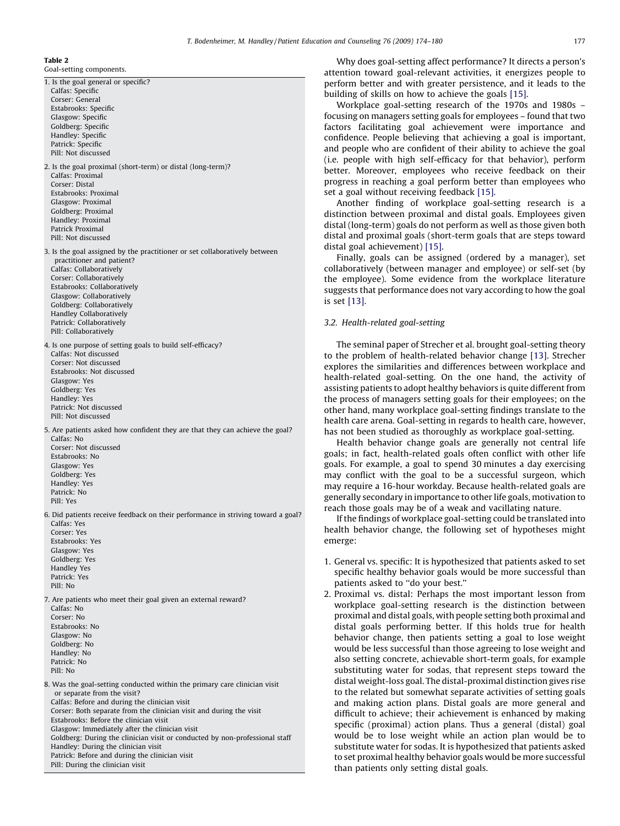#### <span id="page-3-0"></span>Table 2

Goal-setting components. 1. Is the goal general or specific? Calfas: Specific Corser: General Estabrooks: Specific Glasgow: Specific Goldberg: Specific Handley: Specific Patrick: Specific Pill: Not discussed 2. Is the goal proximal (short-term) or distal (long-term)? Calfas: Proximal Corser: Distal Estabrooks: Proximal Glasgow: Proximal Goldberg: Proximal Handley: Proximal Patrick Proximal Pill: Not discussed 3. Is the goal assigned by the practitioner or set collaboratively between practitioner and patient? Calfas: Collaboratively Corser: Collaboratively Estabrooks: Collaboratively Glasgow: Collaboratively Goldberg: Collaboratively Handley Collaboratively Patrick: Collaboratively Pill: Collaboratively 4. Is one purpose of setting goals to build self-efficacy? Calfas: Not discussed Corser: Not discussed Estabrooks: Not discussed Glasgow: Yes Goldberg: Yes Handley: Yes Patrick: Not discussed Pill: Not discussed 5. Are patients asked how confident they are that they can achieve the goal? Calfas: No Corser: Not discussed Estabrooks: No Glasgow: Yes Goldberg: Yes Handley: Yes Patrick: No Pill: Yes 6. Did patients receive feedback on their performance in striving toward a goal? Calfas: Yes Corser: Yes Estabrooks: Yes Glasgow: Yes Goldberg: Yes Handley Yes Patrick: Yes Pill: No 7. Are patients who meet their goal given an external reward? Calfas: No Corser: No Estabrooks: No Glasgow: No Goldberg: No Handley: No Patrick: No Pill: No 8. Was the goal-setting conducted within the primary care clinician visit or separate from the visit? Calfas: Before and during the clinician visit Corser: Both separate from the clinician visit and during the visit Estabrooks: Before the clinician visit Glasgow: Immediately after the clinician visit Goldberg: During the clinician visit or conducted by non-professional staff Handley: During the clinician visit Patrick: Before and during the clinician visit Pill: During the clinician visit

Why does goal-setting affect performance? It directs a person's attention toward goal-relevant activities, it energizes people to perform better and with greater persistence, and it leads to the building of skills on how to achieve the goals [\[15\].](#page-6-0)

Workplace goal-setting research of the 1970s and 1980s – focusing on managers setting goals for employees – found that two factors facilitating goal achievement were importance and confidence. People believing that achieving a goal is important, and people who are confident of their ability to achieve the goal (i.e. people with high self-efficacy for that behavior), perform better. Moreover, employees who receive feedback on their progress in reaching a goal perform better than employees who set a goal without receiving feedback [\[15\]](#page-6-0).

Another finding of workplace goal-setting research is a distinction between proximal and distal goals. Employees given distal (long-term) goals do not perform as well as those given both distal and proximal goals (short-term goals that are steps toward distal goal achievement) [\[15\]](#page-6-0).

Finally, goals can be assigned (ordered by a manager), set collaboratively (between manager and employee) or self-set (by the employee). Some evidence from the workplace literature suggests that performance does not vary according to how the goal is set [\[13\]](#page-6-0).

#### 3.2. Health-related goal-setting

The seminal paper of Strecher et al. brought goal-setting theory to the problem of health-related behavior change [\[13\]](#page-6-0). Strecher explores the similarities and differences between workplace and health-related goal-setting. On the one hand, the activity of assisting patients to adopt healthy behaviors is quite different from the process of managers setting goals for their employees; on the other hand, many workplace goal-setting findings translate to the health care arena. Goal-setting in regards to health care, however, has not been studied as thoroughly as workplace goal-setting.

Health behavior change goals are generally not central life goals; in fact, health-related goals often conflict with other life goals. For example, a goal to spend 30 minutes a day exercising may conflict with the goal to be a successful surgeon, which may require a 16-hour workday. Because health-related goals are generally secondary in importance to other life goals, motivation to reach those goals may be of a weak and vacillating nature.

If the findings of workplace goal-setting could be translated into health behavior change, the following set of hypotheses might emerge:

- 1. General vs. specific: It is hypothesized that patients asked to set specific healthy behavior goals would be more successful than patients asked to ''do your best.''
- 2. Proximal vs. distal: Perhaps the most important lesson from workplace goal-setting research is the distinction between proximal and distal goals, with people setting both proximal and distal goals performing better. If this holds true for health behavior change, then patients setting a goal to lose weight would be less successful than those agreeing to lose weight and also setting concrete, achievable short-term goals, for example substituting water for sodas, that represent steps toward the distal weight-loss goal. The distal-proximal distinction gives rise to the related but somewhat separate activities of setting goals and making action plans. Distal goals are more general and difficult to achieve; their achievement is enhanced by making specific (proximal) action plans. Thus a general (distal) goal would be to lose weight while an action plan would be to substitute water for sodas. It is hypothesized that patients asked to set proximal healthy behavior goals would be more successful than patients only setting distal goals.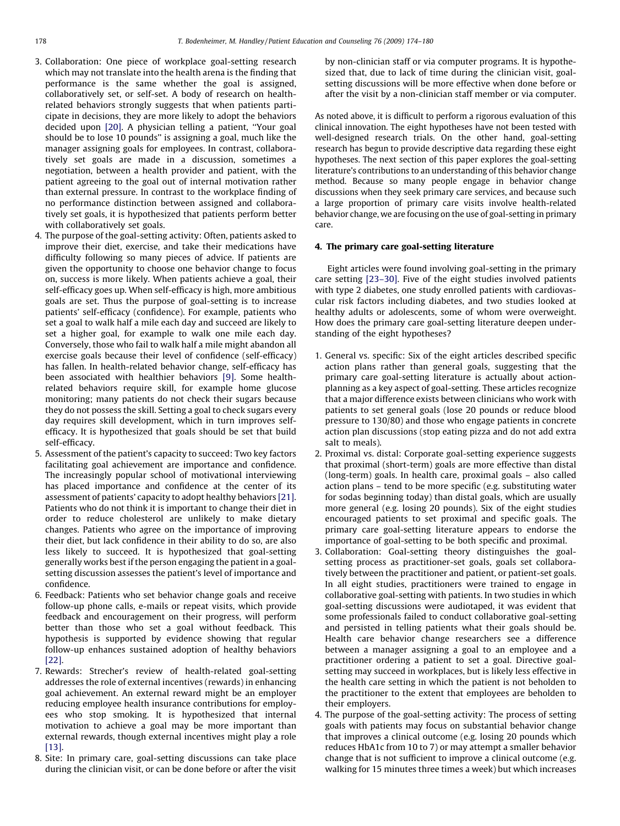- 3. Collaboration: One piece of workplace goal-setting research which may not translate into the health arena is the finding that performance is the same whether the goal is assigned, collaboratively set, or self-set. A body of research on healthrelated behaviors strongly suggests that when patients participate in decisions, they are more likely to adopt the behaviors decided upon [\[20\].](#page-6-0) A physician telling a patient, ''Your goal should be to lose 10 pounds'' is assigning a goal, much like the manager assigning goals for employees. In contrast, collaboratively set goals are made in a discussion, sometimes a negotiation, between a health provider and patient, with the patient agreeing to the goal out of internal motivation rather than external pressure. In contrast to the workplace finding of no performance distinction between assigned and collaboratively set goals, it is hypothesized that patients perform better with collaboratively set goals.
- 4. The purpose of the goal-setting activity: Often, patients asked to improve their diet, exercise, and take their medications have difficulty following so many pieces of advice. If patients are given the opportunity to choose one behavior change to focus on, success is more likely. When patients achieve a goal, their self-efficacy goes up. When self-efficacy is high, more ambitious goals are set. Thus the purpose of goal-setting is to increase patients' self-efficacy (confidence). For example, patients who set a goal to walk half a mile each day and succeed are likely to set a higher goal, for example to walk one mile each day. Conversely, those who fail to walk half a mile might abandon all exercise goals because their level of confidence (self-efficacy) has fallen. In health-related behavior change, self-efficacy has been associated with healthier behaviors [\[9\].](#page-6-0) Some healthrelated behaviors require skill, for example home glucose monitoring; many patients do not check their sugars because they do not possess the skill. Setting a goal to check sugars every day requires skill development, which in turn improves selfefficacy. It is hypothesized that goals should be set that build self-efficacy.
- 5. Assessment of the patient's capacity to succeed: Two key factors facilitating goal achievement are importance and confidence. The increasingly popular school of motivational interviewing has placed importance and confidence at the center of its assessment of patients' capacity to adopt healthy behaviors [\[21\].](#page-6-0) Patients who do not think it is important to change their diet in order to reduce cholesterol are unlikely to make dietary changes. Patients who agree on the importance of improving their diet, but lack confidence in their ability to do so, are also less likely to succeed. It is hypothesized that goal-setting generally works best if the person engaging the patient in a goalsetting discussion assesses the patient's level of importance and confidence.
- 6. Feedback: Patients who set behavior change goals and receive follow-up phone calls, e-mails or repeat visits, which provide feedback and encouragement on their progress, will perform better than those who set a goal without feedback. This hypothesis is supported by evidence showing that regular follow-up enhances sustained adoption of healthy behaviors [\[22\]](#page-6-0).
- 7. Rewards: Strecher's review of health-related goal-setting addresses the role of external incentives (rewards) in enhancing goal achievement. An external reward might be an employer reducing employee health insurance contributions for employees who stop smoking. It is hypothesized that internal motivation to achieve a goal may be more important than external rewards, though external incentives might play a role [\[13\]](#page-6-0).
- 8. Site: In primary care, goal-setting discussions can take place during the clinician visit, or can be done before or after the visit

by non-clinician staff or via computer programs. It is hypothesized that, due to lack of time during the clinician visit, goalsetting discussions will be more effective when done before or after the visit by a non-clinician staff member or via computer.

As noted above, it is difficult to perform a rigorous evaluation of this clinical innovation. The eight hypotheses have not been tested with well-designed research trials. On the other hand, goal-setting research has begun to provide descriptive data regarding these eight hypotheses. The next section of this paper explores the goal-setting literature's contributions to an understanding of this behavior change method. Because so many people engage in behavior change discussions when they seek primary care services, and because such a large proportion of primary care visits involve health-related behavior change, we are focusing on the use of goal-setting in primary care.

#### 4. The primary care goal-setting literature

Eight articles were found involving goal-setting in the primary care setting [\[23–30\].](#page-6-0) Five of the eight studies involved patients with type 2 diabetes, one study enrolled patients with cardiovascular risk factors including diabetes, and two studies looked at healthy adults or adolescents, some of whom were overweight. How does the primary care goal-setting literature deepen understanding of the eight hypotheses?

- 1. General vs. specific: Six of the eight articles described specific action plans rather than general goals, suggesting that the primary care goal-setting literature is actually about actionplanning as a key aspect of goal-setting. These articles recognize that a major difference exists between clinicians who work with patients to set general goals (lose 20 pounds or reduce blood pressure to 130/80) and those who engage patients in concrete action plan discussions (stop eating pizza and do not add extra salt to meals).
- 2. Proximal vs. distal: Corporate goal-setting experience suggests that proximal (short-term) goals are more effective than distal (long-term) goals. In health care, proximal goals – also called action plans – tend to be more specific (e.g. substituting water for sodas beginning today) than distal goals, which are usually more general (e.g. losing 20 pounds). Six of the eight studies encouraged patients to set proximal and specific goals. The primary care goal-setting literature appears to endorse the importance of goal-setting to be both specific and proximal.
- 3. Collaboration: Goal-setting theory distinguishes the goalsetting process as practitioner-set goals, goals set collaboratively between the practitioner and patient, or patient-set goals. In all eight studies, practitioners were trained to engage in collaborative goal-setting with patients. In two studies in which goal-setting discussions were audiotaped, it was evident that some professionals failed to conduct collaborative goal-setting and persisted in telling patients what their goals should be. Health care behavior change researchers see a difference between a manager assigning a goal to an employee and a practitioner ordering a patient to set a goal. Directive goalsetting may succeed in workplaces, but is likely less effective in the health care setting in which the patient is not beholden to the practitioner to the extent that employees are beholden to their employers.
- 4. The purpose of the goal-setting activity: The process of setting goals with patients may focus on substantial behavior change that improves a clinical outcome (e.g. losing 20 pounds which reduces HbA1c from 10 to 7) or may attempt a smaller behavior change that is not sufficient to improve a clinical outcome (e.g. walking for 15 minutes three times a week) but which increases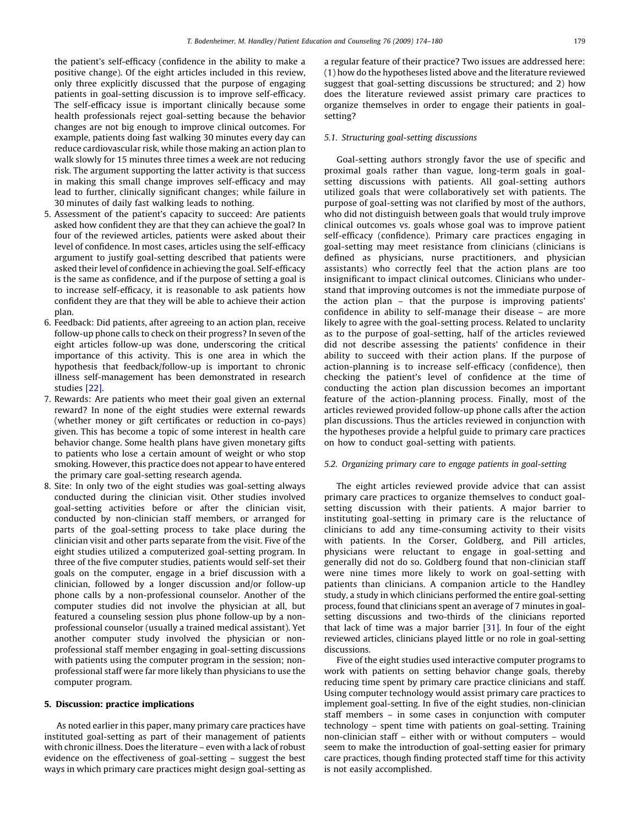the patient's self-efficacy (confidence in the ability to make a positive change). Of the eight articles included in this review, only three explicitly discussed that the purpose of engaging patients in goal-setting discussion is to improve self-efficacy. The self-efficacy issue is important clinically because some health professionals reject goal-setting because the behavior changes are not big enough to improve clinical outcomes. For example, patients doing fast walking 30 minutes every day can reduce cardiovascular risk, while those making an action plan to walk slowly for 15 minutes three times a week are not reducing risk. The argument supporting the latter activity is that success in making this small change improves self-efficacy and may lead to further, clinically significant changes; while failure in 30 minutes of daily fast walking leads to nothing.

- 5. Assessment of the patient's capacity to succeed: Are patients asked how confident they are that they can achieve the goal? In four of the reviewed articles, patients were asked about their level of confidence. In most cases, articles using the self-efficacy argument to justify goal-setting described that patients were asked their level of confidence in achieving the goal. Self-efficacy is the same as confidence, and if the purpose of setting a goal is to increase self-efficacy, it is reasonable to ask patients how confident they are that they will be able to achieve their action plan.
- 6. Feedback: Did patients, after agreeing to an action plan, receive follow-up phone calls to check on their progress? In seven of the eight articles follow-up was done, underscoring the critical importance of this activity. This is one area in which the hypothesis that feedback/follow-up is important to chronic illness self-management has been demonstrated in research studies [\[22\].](#page-6-0)
- 7. Rewards: Are patients who meet their goal given an external reward? In none of the eight studies were external rewards (whether money or gift certificates or reduction in co-pays) given. This has become a topic of some interest in health care behavior change. Some health plans have given monetary gifts to patients who lose a certain amount of weight or who stop smoking. However, this practice does not appear to have entered the primary care goal-setting research agenda.
- 8. Site: In only two of the eight studies was goal-setting always conducted during the clinician visit. Other studies involved goal-setting activities before or after the clinician visit, conducted by non-clinician staff members, or arranged for parts of the goal-setting process to take place during the clinician visit and other parts separate from the visit. Five of the eight studies utilized a computerized goal-setting program. In three of the five computer studies, patients would self-set their goals on the computer, engage in a brief discussion with a clinician, followed by a longer discussion and/or follow-up phone calls by a non-professional counselor. Another of the computer studies did not involve the physician at all, but featured a counseling session plus phone follow-up by a nonprofessional counselor (usually a trained medical assistant). Yet another computer study involved the physician or nonprofessional staff member engaging in goal-setting discussions with patients using the computer program in the session; nonprofessional staff were far more likely than physicians to use the computer program.

#### 5. Discussion: practice implications

As noted earlier in this paper, many primary care practices have instituted goal-setting as part of their management of patients with chronic illness. Does the literature – even with a lack of robust evidence on the effectiveness of goal-setting – suggest the best ways in which primary care practices might design goal-setting as

a regular feature of their practice? Two issues are addressed here: (1) how do the hypotheses listed above and the literature reviewed suggest that goal-setting discussions be structured; and 2) how does the literature reviewed assist primary care practices to organize themselves in order to engage their patients in goalsetting?

#### 5.1. Structuring goal-setting discussions

Goal-setting authors strongly favor the use of specific and proximal goals rather than vague, long-term goals in goalsetting discussions with patients. All goal-setting authors utilized goals that were collaboratively set with patients. The purpose of goal-setting was not clarified by most of the authors, who did not distinguish between goals that would truly improve clinical outcomes vs. goals whose goal was to improve patient self-efficacy (confidence). Primary care practices engaging in goal-setting may meet resistance from clinicians (clinicians is defined as physicians, nurse practitioners, and physician assistants) who correctly feel that the action plans are too insignificant to impact clinical outcomes. Clinicians who understand that improving outcomes is not the immediate purpose of the action plan – that the purpose is improving patients' confidence in ability to self-manage their disease – are more likely to agree with the goal-setting process. Related to unclarity as to the purpose of goal-setting, half of the articles reviewed did not describe assessing the patients' confidence in their ability to succeed with their action plans. If the purpose of action-planning is to increase self-efficacy (confidence), then checking the patient's level of confidence at the time of conducting the action plan discussion becomes an important feature of the action-planning process. Finally, most of the articles reviewed provided follow-up phone calls after the action plan discussions. Thus the articles reviewed in conjunction with the hypotheses provide a helpful guide to primary care practices on how to conduct goal-setting with patients.

#### 5.2. Organizing primary care to engage patients in goal-setting

The eight articles reviewed provide advice that can assist primary care practices to organize themselves to conduct goalsetting discussion with their patients. A major barrier to instituting goal-setting in primary care is the reluctance of clinicians to add any time-consuming activity to their visits with patients. In the Corser, Goldberg, and Pill articles, physicians were reluctant to engage in goal-setting and generally did not do so. Goldberg found that non-clinician staff were nine times more likely to work on goal-setting with patients than clinicians. A companion article to the Handley study, a study in which clinicians performed the entire goal-setting process, found that clinicians spent an average of 7 minutes in goalsetting discussions and two-thirds of the clinicians reported that lack of time was a major barrier [\[31\].](#page-6-0) In four of the eight reviewed articles, clinicians played little or no role in goal-setting discussions.

Five of the eight studies used interactive computer programs to work with patients on setting behavior change goals, thereby reducing time spent by primary care practice clinicians and staff. Using computer technology would assist primary care practices to implement goal-setting. In five of the eight studies, non-clinician staff members – in some cases in conjunction with computer technology – spent time with patients on goal-setting. Training non-clinician staff – either with or without computers – would seem to make the introduction of goal-setting easier for primary care practices, though finding protected staff time for this activity is not easily accomplished.